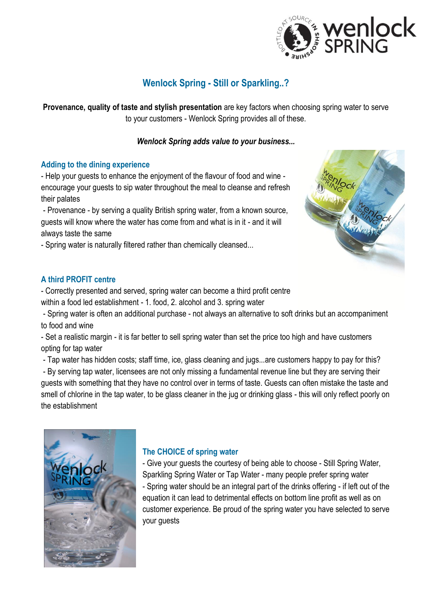

# **Wenlock Spring - Still or Sparkling..?**

**Provenance, quality of taste and stylish presentation** are key factors when choosing spring water to serve to your customers - Wenlock Spring provides all of these.

# *Wenlock Spring adds value to your business...*

## **Adding to the dining experience**

- Help your guests to enhance the enjoyment of the flavour of food and wine encourage your guests to sip water throughout the meal to cleanse and refresh their palates

- Provenance - by serving a quality British spring water, from a known source, guests will know where the water has come from and what is in it - and it will always taste the same

- Spring water is naturally filtered rather than chemically cleansed...



- Correctly presented and served, spring water can become a third profit centre within a food led establishment - 1. food, 2. alcohol and 3. spring water

- Spring water is often an additional purchase - not always an alternative to soft drinks but an accompaniment to food and wine

- Set a realistic margin - it is far better to sell spring water than set the price too high and have customers opting for tap water

- Tap water has hidden costs; staff time, ice, glass cleaning and jugs...are customers happy to pay for this?

- By serving tap water, licensees are not only missing a fundamental revenue line but they are serving their guests with something that they have no control over in terms of taste. Guests can often mistake the taste and smell of chlorine in the tap water, to be glass cleaner in the jug or drinking glass - this will only reflect poorly on the establishment



# **The CHOICE of spring water**

- Give your guests the courtesy of being able to choose - Still Spring Water, Sparkling Spring Water or Tap Water - many people prefer spring water - Spring water should be an integral part of the drinks offering - if left out of the equation it can lead to detrimental effects on bottom line profit as well as on customer experience. Be proud of the spring water you have selected to serve your guests